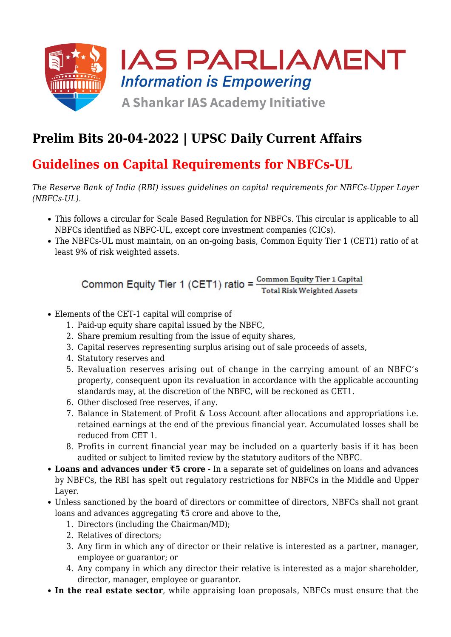

## **Prelim Bits 20-04-2022 | UPSC Daily Current Affairs**

### **Guidelines on Capital Requirements for NBFCs-UL**

*The Reserve Bank of India (RBI) issues guidelines on capital requirements for NBFCs-Upper Layer (NBFCs-UL).*

- This follows a circular for Scale Based Regulation for NBFCs. This circular is applicable to all NBFCs identified as NBFC-UL, except core investment companies (CICs).
- The NBFCs-UL must maintain, on an on-going basis, Common Equity Tier 1 (CET1) ratio of at least 9% of risk weighted assets.

Common Equity Tier 1 (CET1) ratio =  $\frac{\text{Common Equity Tier 1 Capital}}{\text{Total Risk Weighted Assets}}$ 

- Elements of the CET-1 capital will comprise of
	- 1. Paid-up equity share capital issued by the NBFC,
	- 2. Share premium resulting from the issue of equity shares,
	- 3. Capital reserves representing surplus arising out of sale proceeds of assets,
	- 4. Statutory reserves and
	- 5. Revaluation reserves arising out of change in the carrying amount of an NBFC's property, consequent upon its revaluation in accordance with the applicable accounting standards may, at the discretion of the NBFC, will be reckoned as CET1.
	- 6. Other disclosed free reserves, if any.
	- 7. Balance in Statement of Profit & Loss Account after allocations and appropriations i.e. retained earnings at the end of the previous financial year. Accumulated losses shall be reduced from CET 1.
	- 8. Profits in current financial year may be included on a quarterly basis if it has been audited or subject to limited review by the statutory auditors of the NBFC.
- **Loans and advances under ₹5 crore** In a separate set of guidelines on loans and advances by NBFCs, the RBI has spelt out regulatory restrictions for NBFCs in the Middle and Upper Layer.
- Unless sanctioned by the board of directors or committee of directors, NBFCs shall not grant loans and advances aggregating ₹5 crore and above to the,
	- 1. Directors (including the Chairman/MD);
	- 2. Relatives of directors;
	- 3. Any firm in which any of director or their relative is interested as a partner, manager, employee or guarantor; or
	- 4. Any company in which any director their relative is interested as a major shareholder, director, manager, employee or guarantor.
- **In the real estate sector**, while appraising loan proposals, NBFCs must ensure that the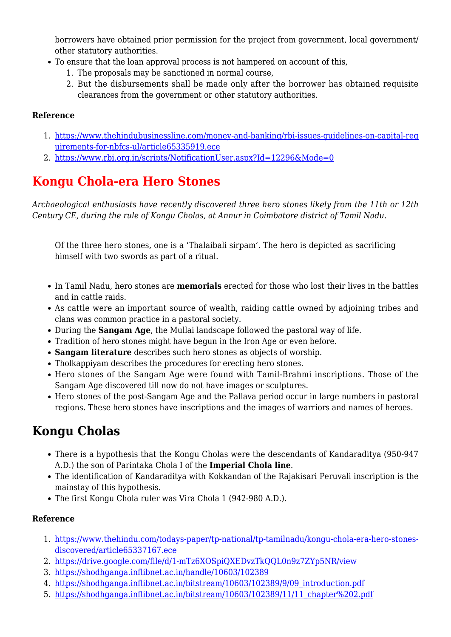borrowers have obtained prior permission for the project from government, local government/ other statutory authorities.

- To ensure that the loan approval process is not hampered on account of this,
	- 1. The proposals may be sanctioned in normal course,
	- 2. But the disbursements shall be made only after the borrower has obtained requisite clearances from the government or other statutory authorities.

### **Reference**

- 1. [https://www.thehindubusinessline.com/money-and-banking/rbi-issues-guidelines-on-capital-req](https://www.thehindubusinessline.com/money-and-banking/rbi-issues-guidelines-on-capital-requirements-for-nbfcs-ul/article65335919.ece) [uirements-for-nbfcs-ul/article65335919.ece](https://www.thehindubusinessline.com/money-and-banking/rbi-issues-guidelines-on-capital-requirements-for-nbfcs-ul/article65335919.ece)
- 2. <https://www.rbi.org.in/scripts/NotificationUser.aspx?Id=12296&Mode=0>

# **Kongu Chola-era Hero Stones**

*Archaeological enthusiasts have recently discovered three hero stones likely from the 11th or 12th Century CE, during the rule of Kongu Cholas, at Annur in Coimbatore district of Tamil Nadu.*

Of the three hero stones, one is a 'Thalaibali sirpam'. The hero is depicted as sacrificing himself with two swords as part of a ritual.

- In Tamil Nadu, hero stones are **memorials** erected for those who lost their lives in the battles and in cattle raids.
- As cattle were an important source of wealth, raiding cattle owned by adjoining tribes and clans was common practice in a pastoral society.
- During the **Sangam Age**, the Mullai landscape followed the pastoral way of life.
- Tradition of hero stones might have begun in the Iron Age or even before.
- **Sangam literature** describes such hero stones as objects of worship.
- Tholkappiyam describes the procedures for erecting hero stones.
- Hero stones of the Sangam Age were found with Tamil-Brahmi inscriptions. Those of the Sangam Age discovered till now do not have images or sculptures.
- Hero stones of the post-Sangam Age and the Pallava period occur in large numbers in pastoral regions. These hero stones have inscriptions and the images of warriors and names of heroes.

### **Kongu Cholas**

- There is a hypothesis that the Kongu Cholas were the descendants of Kandaraditya (950-947 A.D.) the son of Parintaka Chola I of the **Imperial Chola line**.
- The identification of Kandaraditya with Kokkandan of the Rajakisari Peruvali inscription is the mainstay of this hypothesis.
- The first Kongu Chola ruler was Vira Chola 1 (942-980 A.D.).

### **Reference**

- 1. [https://www.thehindu.com/todays-paper/tp-national/tp-tamilnadu/kongu-chola-era-hero-stones](https://www.thehindu.com/todays-paper/tp-national/tp-tamilnadu/kongu-chola-era-hero-stones-discovered/article65337167.ece)[discovered/article65337167.ece](https://www.thehindu.com/todays-paper/tp-national/tp-tamilnadu/kongu-chola-era-hero-stones-discovered/article65337167.ece)
- 2. https://drive.google.com/file/d/1-mTz6XOSpiOXEDvzTkOOL0n9z7ZYp5NR/view
- 3. <https://shodhganga.inflibnet.ac.in/handle/10603/102389>
- 4. [https://shodhganga.inflibnet.ac.in/bitstream/10603/102389/9/09\\_introduction.pdf](https://shodhganga.inflibnet.ac.in/bitstream/10603/102389/9/09_introduction.pdf)
- 5. [https://shodhganga.inflibnet.ac.in/bitstream/10603/102389/11/11\\_chapter%202.pdf](https://shodhganga.inflibnet.ac.in/bitstream/10603/102389/11/11_chapter%202.pdf)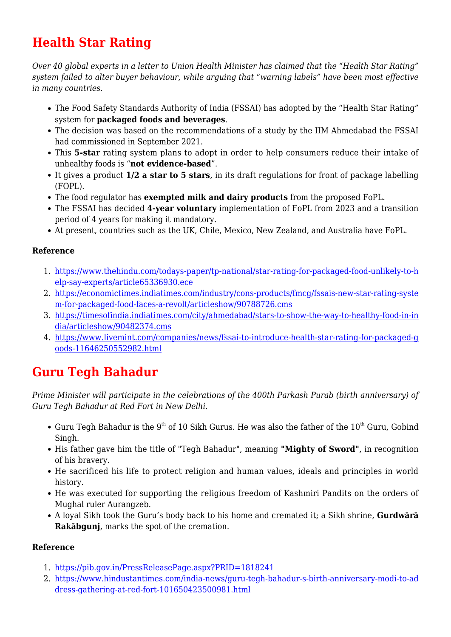# **Health Star Rating**

*Over 40 global experts in a letter to Union Health Minister has claimed that the "Health Star Rating" system failed to alter buyer behaviour, while arguing that "warning labels" have been most effective in many countries.*

- The Food Safety Standards Authority of India (FSSAI) has adopted by the "Health Star Rating" system for **packaged foods and beverages**.
- The decision was based on the recommendations of a study by the IIM Ahmedabad the FSSAI had commissioned in September 2021.
- This **5-star** rating system plans to adopt in order to help consumers reduce their intake of unhealthy foods is "**not evidence-based**".
- It gives a product **1/2 a star to 5 stars**, in its draft regulations for front of package labelling (FOPL).
- The food regulator has **exempted milk and dairy products** from the proposed FoPL.
- The FSSAI has decided **4-year voluntary** implementation of FoPL from 2023 and a transition period of 4 years for making it mandatory.
- At present, countries such as the UK, Chile, Mexico, New Zealand, and Australia have FoPL.

### **Reference**

- 1. [https://www.thehindu.com/todays-paper/tp-national/star-rating-for-packaged-food-unlikely-to-h](https://www.thehindu.com/todays-paper/tp-national/star-rating-for-packaged-food-unlikely-to-help-say-experts/article65336930.ece) [elp-say-experts/article65336930.ece](https://www.thehindu.com/todays-paper/tp-national/star-rating-for-packaged-food-unlikely-to-help-say-experts/article65336930.ece)
- 2. [https://economictimes.indiatimes.com/industry/cons-products/fmcg/fssais-new-star-rating-syste](https://economictimes.indiatimes.com/industry/cons-products/fmcg/fssais-new-star-rating-system-for-packaged-food-faces-a-revolt/articleshow/90788726.cms) [m-for-packaged-food-faces-a-revolt/articleshow/90788726.cms](https://economictimes.indiatimes.com/industry/cons-products/fmcg/fssais-new-star-rating-system-for-packaged-food-faces-a-revolt/articleshow/90788726.cms)
- 3. [https://timesofindia.indiatimes.com/city/ahmedabad/stars-to-show-the-way-to-healthy-food-in-in](https://timesofindia.indiatimes.com/city/ahmedabad/stars-to-show-the-way-to-healthy-food-in-india/articleshow/90482374.cms) [dia/articleshow/90482374.cms](https://timesofindia.indiatimes.com/city/ahmedabad/stars-to-show-the-way-to-healthy-food-in-india/articleshow/90482374.cms)
- 4. [https://www.livemint.com/companies/news/fssai-to-introduce-health-star-rating-for-packaged-g](https://www.livemint.com/companies/news/fssai-to-introduce-health-star-rating-for-packaged-goods-11646250552982.html) [oods-11646250552982.html](https://www.livemint.com/companies/news/fssai-to-introduce-health-star-rating-for-packaged-goods-11646250552982.html)

### **Guru Tegh Bahadur**

*Prime Minister will participate in the celebrations of the 400th Parkash Purab (birth anniversary) of Guru Tegh Bahadur at Red Fort in New Delhi.*

- Guru Tegh Bahadur is the 9<sup>th</sup> of 10 Sikh Gurus. He was also the father of the 10<sup>th</sup> Guru, Gobind Singh.
- His father gave him the title of "Tegh Bahadur", meaning "Mighty of Sword", in recognition of his bravery.
- He sacrificed his life to protect religion and human values, ideals and principles in world history.
- He was executed for supporting the religious freedom of Kashmiri Pandits on the orders of Mughal ruler Aurangzeb.
- A loyal Sikh took the Guru's body back to his home and cremated it; a Sikh shrine, **Gurdwārā Rakābgunj**, marks the spot of the cremation.

### **Reference**

- 1. <https://pib.gov.in/PressReleasePage.aspx?PRID=1818241>
- 2. [https://www.hindustantimes.com/india-news/guru-tegh-bahadur-s-birth-anniversary-modi-to-ad](https://www.hindustantimes.com/india-news/guru-tegh-bahadur-s-birth-anniversary-modi-to-address-gathering-at-red-fort-101650423500981.html) [dress-gathering-at-red-fort-101650423500981.html](https://www.hindustantimes.com/india-news/guru-tegh-bahadur-s-birth-anniversary-modi-to-address-gathering-at-red-fort-101650423500981.html)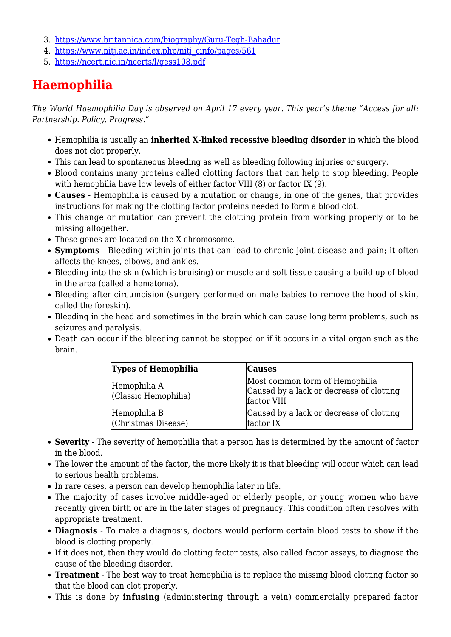- 3. <https://www.britannica.com/biography/Guru-Tegh-Bahadur>
- 4. [https://www.nitj.ac.in/index.php/nitj\\_cinfo/pages/561](https://www.nitj.ac.in/index.php/nitj_cinfo/pages/561)
- 5. <https://ncert.nic.in/ncerts/l/gess108.pdf>

# **Haemophilia**

*The World Haemophilia Day is observed on April 17 every year. This year's theme "Access for all: Partnership. Policy. Progress."*

- Hemophilia is usually an **inherited X-linked recessive bleeding disorder** in which the blood does not clot properly.
- This can lead to spontaneous bleeding as well as bleeding following injuries or surgery.
- Blood contains many proteins called clotting factors that can help to stop bleeding. People with hemophilia have low levels of either factor VIII (8) or factor IX (9).
- **Causes** Hemophilia is caused by a mutation or change, in one of the genes, that provides instructions for making the clotting factor proteins needed to form a blood clot.
- This change or mutation can prevent the clotting protein from working properly or to be missing altogether.
- These genes are located on the X chromosome.
- **Symptoms** Bleeding within joints that can lead to chronic joint disease and pain; it often affects the knees, elbows, and ankles.
- Bleeding into the skin (which is bruising) or muscle and soft tissue causing a build-up of blood in the area (called a hematoma).
- Bleeding after circumcision (surgery performed on male babies to remove the hood of skin, called the foreskin).
- Bleeding in the head and sometimes in the brain which can cause long term problems, such as seizures and paralysis.
- Death can occur if the bleeding cannot be stopped or if it occurs in a vital organ such as the brain.

| <b>Types of Hemophilia</b>           | <b>Causes</b>                                                                             |
|--------------------------------------|-------------------------------------------------------------------------------------------|
| Hemophilia A<br>(Classic Hemophilia) | Most common form of Hemophilia<br>Caused by a lack or decrease of clotting<br>factor VIII |
| Hemophilia B<br>(Christmas Disease)  | Caused by a lack or decrease of clotting<br>factor IX                                     |

- **Severity** The severity of hemophilia that a person has is determined by the amount of factor in the blood.
- The lower the amount of the factor, the more likely it is that bleeding will occur which can lead to serious health problems.
- In rare cases, a person can develop hemophilia later in life.
- The majority of cases involve middle-aged or elderly people, or young women who have recently given birth or are in the later stages of pregnancy. This condition often resolves with appropriate treatment.
- **Diagnosis** To make a diagnosis, doctors would perform certain blood tests to show if the blood is clotting properly.
- If it does not, then they would do clotting factor tests, also called factor assays, to diagnose the cause of the bleeding disorder.
- **Treatment** The best way to treat hemophilia is to replace the missing blood clotting factor so that the blood can clot properly.
- This is done by **infusing** (administering through a vein) commercially prepared factor